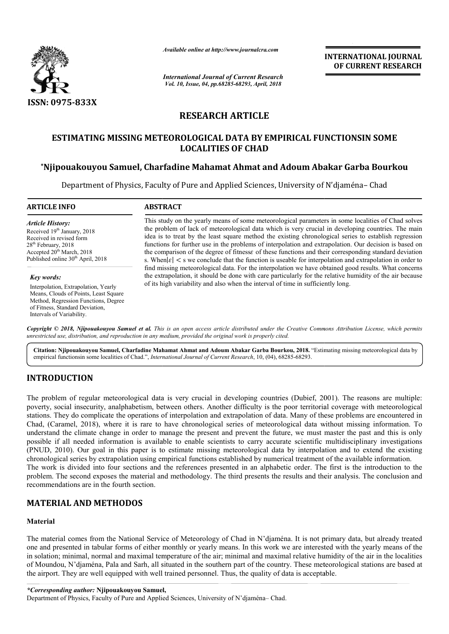

*Available online at http://www.journalcra.com*

# **RESEARCH ARTICLE**

## ESTIMATING MISSING METEOROLOGICAL DATA BY EMPIRICAL FUNCTIONSIN SOME **LOCALITIES OF CHAD**

## **\*Njipouakouyou Samuel, Charfadine Mahamat Ahmat and Adoum Abakar Garba Bourkou Njipouakouyou**

|                                                                                                                                                                                                                             | атишные опине иг пир.// www.journaicra.com                                                                                                                                                                                                                                                                                                                                                                                                                                                                                                                                                                                                                                                                                                                                                                                                                                                                                                                                                                                                                                                                                                                                                                                                                                                                                                              | <b>INTERNATIONAL JOURNAL</b><br>OF CURRENT RESEARCH |
|-----------------------------------------------------------------------------------------------------------------------------------------------------------------------------------------------------------------------------|---------------------------------------------------------------------------------------------------------------------------------------------------------------------------------------------------------------------------------------------------------------------------------------------------------------------------------------------------------------------------------------------------------------------------------------------------------------------------------------------------------------------------------------------------------------------------------------------------------------------------------------------------------------------------------------------------------------------------------------------------------------------------------------------------------------------------------------------------------------------------------------------------------------------------------------------------------------------------------------------------------------------------------------------------------------------------------------------------------------------------------------------------------------------------------------------------------------------------------------------------------------------------------------------------------------------------------------------------------|-----------------------------------------------------|
|                                                                                                                                                                                                                             | <b>International Journal of Current Research</b><br>Vol. 10, Issue, 04, pp.68285-68293, April, 2018                                                                                                                                                                                                                                                                                                                                                                                                                                                                                                                                                                                                                                                                                                                                                                                                                                                                                                                                                                                                                                                                                                                                                                                                                                                     |                                                     |
| <b>ISSN: 0975-833X</b>                                                                                                                                                                                                      |                                                                                                                                                                                                                                                                                                                                                                                                                                                                                                                                                                                                                                                                                                                                                                                                                                                                                                                                                                                                                                                                                                                                                                                                                                                                                                                                                         |                                                     |
|                                                                                                                                                                                                                             | <b>RESEARCH ARTICLE</b>                                                                                                                                                                                                                                                                                                                                                                                                                                                                                                                                                                                                                                                                                                                                                                                                                                                                                                                                                                                                                                                                                                                                                                                                                                                                                                                                 |                                                     |
|                                                                                                                                                                                                                             | ESTIMATING MISSING METEOROLOGICAL DATA BY EMPIRICAL FUNCTIONSIN SOME<br><b>LOCALITIES OF CHAD</b>                                                                                                                                                                                                                                                                                                                                                                                                                                                                                                                                                                                                                                                                                                                                                                                                                                                                                                                                                                                                                                                                                                                                                                                                                                                       |                                                     |
|                                                                                                                                                                                                                             | *Njipouakouyou Samuel, Charfadine Mahamat Ahmat and Adoum Abakar Garba Bourkou                                                                                                                                                                                                                                                                                                                                                                                                                                                                                                                                                                                                                                                                                                                                                                                                                                                                                                                                                                                                                                                                                                                                                                                                                                                                          |                                                     |
|                                                                                                                                                                                                                             | Department of Physics, Faculty of Pure and Applied Sciences, University of N'djaména– Chad                                                                                                                                                                                                                                                                                                                                                                                                                                                                                                                                                                                                                                                                                                                                                                                                                                                                                                                                                                                                                                                                                                                                                                                                                                                              |                                                     |
| <b>ARTICLE INFO</b>                                                                                                                                                                                                         | <b>ABSTRACT</b>                                                                                                                                                                                                                                                                                                                                                                                                                                                                                                                                                                                                                                                                                                                                                                                                                                                                                                                                                                                                                                                                                                                                                                                                                                                                                                                                         |                                                     |
| <b>Article History:</b><br>Received 19 <sup>th</sup> January, 2018<br>Received in revised form<br>28 <sup>th</sup> February, 2018<br>Accepted 20 <sup>th</sup> March, 2018<br>Published online 30 <sup>th</sup> April, 2018 | This study on the yearly means of some meteorological parameters in some localities of Chad solves<br>the problem of lack of meteorological data which is very crucial in developing countries. The main<br>idea is to treat by the least square method the existing chronological series to establish regression<br>functions for further use in the problems of interpolation and extrapolation. Our decision is based on<br>the comparison of the degree of fitnesse of these functions and their corresponding standard deviation<br>s. When $ \varepsilon $ < s we conclude that the function is useable for interpolation and extrapolation in order to<br>find missing meteorological data. For the interpolation we have obtained good results. What concerns                                                                                                                                                                                                                                                                                                                                                                                                                                                                                                                                                                                   |                                                     |
| Key words:<br>Interpolation, Extrapolation, Yearly<br>Means, Clouds of Points, Least Square<br>Method, Regression Functions, Degree<br>of Fitness, Standard Deviation,<br>Intervals of Variability.                         | the extrapolation, it should be done with care particularly for the relative humidity of the air because<br>of its high variability and also when the interval of time in sufficiently long.                                                                                                                                                                                                                                                                                                                                                                                                                                                                                                                                                                                                                                                                                                                                                                                                                                                                                                                                                                                                                                                                                                                                                            |                                                     |
|                                                                                                                                                                                                                             | Copyright © 2018, Njipouakouyou Samuel et al. This is an open access article distributed under the Creative Commons Attribution License, which permits<br>unrestricted use, distribution, and reproduction in any medium, provided the original work is properly cited.                                                                                                                                                                                                                                                                                                                                                                                                                                                                                                                                                                                                                                                                                                                                                                                                                                                                                                                                                                                                                                                                                 |                                                     |
|                                                                                                                                                                                                                             | Citation: Njipouakouyou Samuel, Charfadine Mahamat Ahmat and Adoum Abakar Garba Bourkou, 2018. "Estimating missing meteorological data by<br>empirical functionsin some localities of Chad.", <i>International Journal of Current Research</i> , 10, (04), 68285-68293.                                                                                                                                                                                                                                                                                                                                                                                                                                                                                                                                                                                                                                                                                                                                                                                                                                                                                                                                                                                                                                                                                 |                                                     |
| <b>INTRODUCTION</b>                                                                                                                                                                                                         |                                                                                                                                                                                                                                                                                                                                                                                                                                                                                                                                                                                                                                                                                                                                                                                                                                                                                                                                                                                                                                                                                                                                                                                                                                                                                                                                                         |                                                     |
| recommendations are in the fourth section.                                                                                                                                                                                  | The problem of regular meteorological data is very crucial in developing countries (Dubief, 2001). The reasons are multiple:<br>poverty, social insecurity, analphabetism, between others. Another difficulty is the poor territorial coverage with meteorological<br>stations. They do complicate the operations of interpolation and extrapolation of data. Many of these problems are encountered in<br>Chad, (Caramel, 2018), where it is rare to have chronological series of meteorological data without missing information. To<br>understand the climate change in order to manage the present and prevent the future, we must master the past and this is only<br>possible if all needed information is available to enable scientists to carry accurate scientific multidisciplinary investigations<br>(PNUD, 2010). Our goal in this paper is to estimate missing meteorological data by interpolation and to extend the existing<br>chronological series by extrapolation using empirical functions established by numerical treatment of the available information.<br>The work is divided into four sections and the references presented in an alphabetic order. The first is the introduction to the<br>problem. The second exposes the material and methodology. The third presents the results and their analysis. The conclusion and |                                                     |
| <b>MATERIAL AND METHODOS</b>                                                                                                                                                                                                |                                                                                                                                                                                                                                                                                                                                                                                                                                                                                                                                                                                                                                                                                                                                                                                                                                                                                                                                                                                                                                                                                                                                                                                                                                                                                                                                                         |                                                     |
| Material                                                                                                                                                                                                                    |                                                                                                                                                                                                                                                                                                                                                                                                                                                                                                                                                                                                                                                                                                                                                                                                                                                                                                                                                                                                                                                                                                                                                                                                                                                                                                                                                         |                                                     |
|                                                                                                                                                                                                                             | The material comes from the National Service of Meteorology of Chad in N'djaména. It is not primary data, but already treated<br>one and presented in tabular forms of either monthly or yearly means. In this work we are interested with the yearly means of the<br>in solation; minimal, normal and maximal temperature of the air; minimal and maximal relative humidity of the air in the localities<br>of Moundou, N'djaména, Pala and Sarh, all situated in the southern part of the country. These meteorological stations are based at<br>the airport. They are well equipped with well trained personnel. Thus, the quality of data is acceptable.                                                                                                                                                                                                                                                                                                                                                                                                                                                                                                                                                                                                                                                                                            |                                                     |

## **INTRODUCTION**

## **MATERIAL AND METHODOS**

## **Material**

Department of Physics, Faculty of Pure and Applied Sciences, University of N'djaména– Chad.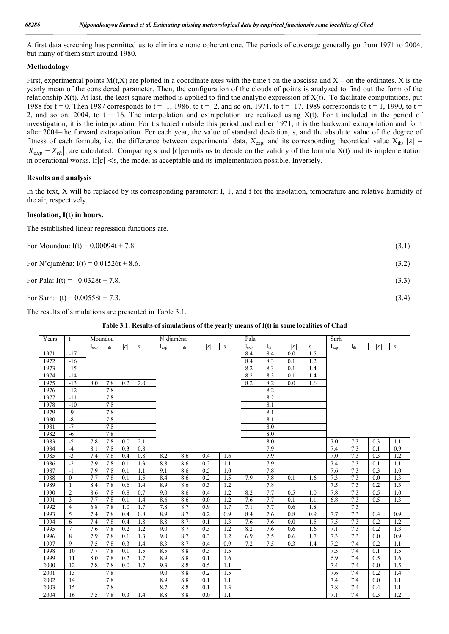A first data screening has permitted us to eliminate none coherent one. The periods of coverage generally go from 1971 to 2004, but many of them start around 1980.

## **Methodology**

First, experimental points  $M(t,X)$  are plotted in a coordinate axes with the time t on the abscissa and  $X$  – on the ordinates. X is the yearly mean of the considered parameter. Then, the configuration of the clouds of points is analyzed to find out the form of the relationship  $X(t)$ . At last, the least square method is applied to find the analytic expression of  $X(t)$ . To facilitate computations, put 1988 for  $t = 0$ . Then 1987 corresponds to  $t = -1$ , 1986, to  $t = -2$ , and so on, 1971, to  $t = -17$ . 1989 corresponds to  $t = 1$ , 1990, to  $t =$ 2, and so on, 2004, to  $t = 16$ . The interpolation and extrapolation are realized using  $X(t)$ . For t included in the period of investigation, it is the interpolation. For t situated outside this period and earlier 1971, it is the backward extrapolation and for t after 2004–the forward extrapolation. For each year, the value of standard deviation, s, and the absolute value of the degree of fitness of each formula, i.e. the difference between experimental data,  $X_{exp}$ , and its corresponding theoretical value  $X_{th}$ ,  $|\varepsilon|$  =  $|X_{exp} - X_{th}|$ , are calculated. Comparing s and | $\varepsilon$ |permits us to decide on the validity of the formula X(t) and its implementation in operational works. If $|\varepsilon|$  <s, the model is acceptable and its implementation possible. Inversely.

## **Results and analysis**

In the text, X will be replaced by its corresponding parameter: I, T, and f for the insolation, temperature and relative humidity of the air, respectively.

### **Insolation, I(t) in hours.**

The established linear regression functions are.

| For Moundou: $I(t) = 0.00094t + 7.8$ .   | (3.1) |
|------------------------------------------|-------|
| For N'djaména: $I(t) = 0.01526t + 8.6$ . | (3.2) |
| For Pala: $I(t) = -0.0328t + 7.8$ .      | (3.3) |
| For Sarh: $I(t) = 0.00558t + 7.3$ .      | (3.4) |

The results of simulations are presented in Table 3.1.

| Years | t              |           | Moundou  |                  |                  | N'djaména  |          |                  |                  | Pala      |          |                 |        | Sarh                  |          |                  |        |
|-------|----------------|-----------|----------|------------------|------------------|------------|----------|------------------|------------------|-----------|----------|-----------------|--------|-----------------------|----------|------------------|--------|
|       |                | $I_{exp}$ | $I_{th}$ | $ \varepsilon $  | ${\bf S}$        | $I_{\exp}$ | $I_{th}$ | $ \varepsilon $  | ${\bf S}$        | $I_{exp}$ | $I_{th}$ | $ \varepsilon $ | $\,$ s | $I_{\underline{exp}}$ | $I_{th}$ | $ \varepsilon $  | $\,$ s |
| 1971  | $-17$          |           |          |                  |                  |            |          |                  |                  | 8.4       | 8.4      | 0.0             | 1.5    |                       |          |                  |        |
| 1972  | $-16$          |           |          |                  |                  |            |          |                  |                  | 8.4       | 8.3      | 0.1             | 1.2    |                       |          |                  |        |
| 1973  | $-15$          |           |          |                  |                  |            |          |                  |                  | 8.2       | 8.3      | 0.1             | 1.4    |                       |          |                  |        |
| 1974  | $-14$          |           |          |                  |                  |            |          |                  |                  | 8.2       | 8.3      | 0.1             | 1.4    |                       |          |                  |        |
| 1975  | $-13$          | 8.0       | 7.8      | 0.2              | 2.0              |            |          |                  |                  | 8.2       | 8.2      | 0.0             | 1.6    |                       |          |                  |        |
| 1976  | $-12$          |           | 7.8      |                  |                  |            |          |                  |                  |           | 8.2      |                 |        |                       |          |                  |        |
| 1977  | $-11$          |           | 7.8      |                  |                  |            |          |                  |                  |           | 8.2      |                 |        |                       |          |                  |        |
| 1978  | $-10$          |           | 7.8      |                  |                  |            |          |                  |                  |           | 8.1      |                 |        |                       |          |                  |        |
| 1979  | $-9$           |           | 7.8      |                  |                  |            |          |                  |                  |           | 8.1      |                 |        |                       |          |                  |        |
| 1980  | $-8$           |           | 7.8      |                  |                  |            |          |                  |                  |           | 8.1      |                 |        |                       |          |                  |        |
| 1981  | $-7$           |           | 7.8      |                  |                  |            |          |                  |                  |           | 8.0      |                 |        |                       |          |                  |        |
| 1982  | $-6$           |           | 7.8      |                  |                  |            |          |                  |                  |           | 8.0      |                 |        |                       |          |                  |        |
| 1983  | $-5$           | 7.8       | 7.8      | 0.0              | 2.1              |            |          |                  |                  |           | 8.0      |                 |        | 7.0                   | 7.3      | 0.3              | 1.1    |
| 1984  | $-4$           | 8.1       | 7.8      | 0.3              | 0.8              |            |          |                  |                  |           | 7.9      |                 |        | 7.4                   | 7.3      | 0.1              | 0.9    |
| 1985  | $-3$           | 7.4       | 7.8      | 0.4              | 0.8              | 8.2        | 8.6      | 0.4              | 1.6              |           | 7.9      |                 |        | 7.0                   | 7.3      | 0.3              | 1.2    |
| 1986  | $-2$           | 7.9       | 7.8      | 0.1              | 1.3              | 8.8        | 8.6      | 0.2              | 1.1              |           | 7.9      |                 |        | 7.4                   | 7.3      | 0.1              | 1.1    |
| 1987  | $-1$           | 7.9       | 7.8      | 0.1              | 1.1              | 9.1        | 8.6      | 0.5              | 1.0              |           | 7.8      |                 |        | 7.6                   | 7.3      | 0.3              | 1.0    |
| 1988  | $\theta$       | 7.7       | 7.8      | 0.1              | 1.5              | 8.4        | 8.6      | 0.2              | 1.5              | 7.9       | 7.8      | 0.1             | 1.6    | 7.3                   | 7.3      | 0.0              | 1.3    |
| 1989  | $\mathbf{1}$   | 8.4       | 7.8      | 0.6              | 1.4              | 8.9        | 8.6      | 0.3              | 1.2              |           | 7.8      |                 |        | 7.5                   | 7.3      | 0.2              | 1.3    |
| 1990  | $\overline{2}$ | 8.6       | 7.8      | 0.8              | 0.7              | 9.0        | 8.6      | 0.4              | 1.2              | 8.2       | 7.7      | 0.5             | 1.0    | 7.8                   | 7.3      | 0.5              | 1.0    |
| 1991  | $\overline{3}$ | 7.7       | 7.8      | 0.1              | 1.4              | 8.6        | 8.6      | 0.0              | $\overline{1.2}$ | 7.6       | 7.7      | 0.1             | 1.1    | 6.8                   | 7.3      | 0.5              | 1.3    |
| 1992  | $\overline{4}$ | 6.8       | 7.8      | 1.0              | 1.7              | 7.8        | 8.7      | 0.9              | 1.7              | 7.1       | 7.7      | 0.6             | 1.8    |                       | 7.3      |                  |        |
| 1993  | 5              | 7.4       | 7.8      | 0.4              | 0.8              | 8.9        | 8.7      | 0.2              | 0.9              | 8.4       | 7.6      | 0.8             | 0.9    | 7.7                   | 7.3      | 0.4              | 0.9    |
| 1994  | 6              | 7.4       | 7.8      | 0.4              | 1.8              | 8.8        | 8.7      | 0.1              | 1.3              | 7.6       | 7.6      | 0.0             | 1.5    | 7.5                   | 7.3      | 0.2              | 1.2    |
| 1995  | $\overline{7}$ | 7.6       | 7.8      | $\overline{0.2}$ | $\overline{1.2}$ | 9.0        | 8.7      | $\overline{0.3}$ | 1.2              | 8.2       | 7.6      | 0.6             | 1.6    | 7.1                   | 7.3      | $\overline{0.2}$ | 1.3    |
| 1996  | 8              | 7.9       | 7.8      | 0.1              | 1.3              | 9.0        | 8.7      | $\overline{0.3}$ | 1.2              | 6.9       | 7.5      | 0.6             | 1.7    | 7.3                   | 7.3      | $\overline{0.0}$ | 0.9    |
| 1997  | 9              | 7.5       | 7.8      | 0.3              | 1.4              | 8.3        | 8.7      | 0.4              | 0.9              | 7.2       | 7.5      | 0.3             | 1.4    | 7.2                   | 7.4      | 0.2              | 1.1    |
| 1998  | 10             | 7.7       | 7.8      | 0.1              | 1.5              | 8.5        | 8.8      | 0.3              | 1.5              |           |          |                 |        | 7.5                   | 7.4      | 0.1              | 1.5    |
| 1999  | 11             | 8.0       | 7.8      | 0.2              | 1.7              | 8.9        | 8.8      | 0.1              | 1.6              |           |          |                 |        | 6.9                   | 7.4      | 0.5              | 1.6    |
| 2000  | 12             | 7.8       | 7.8      | 0.0              | 1.7              | 9.3        | 8.8      | 0.5              | 1.1              |           |          |                 |        | 7.4                   | 7.4      | 0.0              | 1.5    |
| 2001  | 13             |           | 7.8      |                  |                  | 9.0        | 8.8      | 0.2              | 1.5              |           |          |                 |        | 7.6                   | 7.4      | 0.2              | 1.4    |
| 2002  | 14             |           | 7.8      |                  |                  | 8.9        | 8.8      | 0.1              | 1.1              |           |          |                 |        | 7.4                   | 7.4      | 0.0              | 1.1    |
| 2003  | 15             |           | 7.8      |                  |                  | 8.7        | 8.8      | 0.1              | 1.3              |           |          |                 |        | 7.8                   | 7.4      | 0.4              | 1.1    |
| 2004  | 16             | 7.5       | 7.8      | 0.3              | 1.4              | 8.8        | 8.8      | 0.0              | 1.1              |           |          |                 |        | 7.1                   | 7.4      | 0.3              | 1.2    |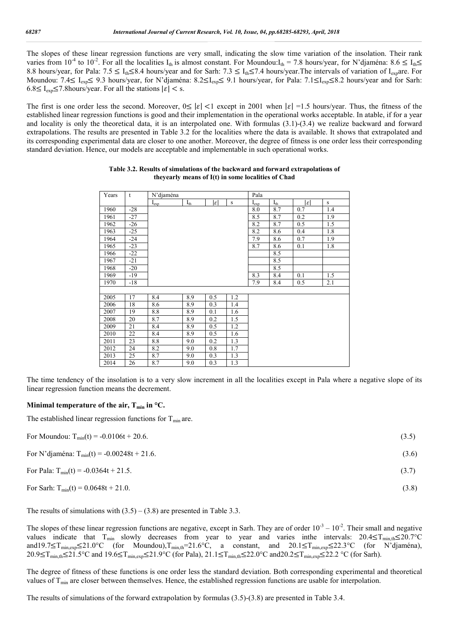The slopes of these linear regression functions are very small, indicating the slow time variation of the insolation. Their rank varies from 10<sup>-4</sup> to 10<sup>-2</sup>. For all the localities I<sub>th</sub> is almost constant. For Moundou:I<sub>th</sub> = 7.8 hours/year, for N'djaména: 8.6  $\leq I_{th} \leq$ 8.8 hours/year, for Pala:  $7.5 \le I_{th} \le 8.4$  hours/year and for Sarh:  $7.3 \le I_{th} \le 7.4$  hours/year. The intervals of variation of I<sub>exp</sub>are. For Moundou: 7.4≤ I<sub>exp</sub>≤ 9.3 hours/year, for N'djaména: 8.2≤I<sub>exp</sub>≤ 9.1 hours/year, for Pala: 7.1≤I<sub>exp</sub>≤8.2 hours/year and for Sarh:  $6.8 \le I_{\rm exp} \le 7.8$  hours/year. For all the stations  $|\varepsilon| <$  s.

The first is one order less the second. Moreover,  $0 \le |\varepsilon| < 1$  except in 2001 when  $|\varepsilon| = 1.5$  hours/year. Thus, the fitness of the established linear regression functions is good and their implementation in the operational works acceptable. In atable, if for a year and locality is only the theoretical data, it is an interpolated one. With formulas (3.1)-(3.4) we realize backward and forward extrapolations. The results are presented in Table 3.2 for the localities where the data is available. It shows that extrapolated and its corresponding experimental data are closer to one another. Moreover, the degree of fitness is one order less their corresponding standard deviation. Hence, our models are acceptable and implementable in such operational works.

| Years | t     | N'djaména |          |                 |     | Pala      |          |     |     |
|-------|-------|-----------|----------|-----------------|-----|-----------|----------|-----|-----|
|       |       | $I_{exp}$ | $I_{th}$ | $ \varepsilon $ | S   | $I_{exp}$ | $I_{th}$ | lεl | S   |
| 1960  | $-28$ |           |          |                 |     | 8.0       | 8.7      | 0.7 | 1.4 |
| 1961  | $-27$ |           |          |                 |     | 8.5       | 8.7      | 0.2 | 1.9 |
| 1962  | $-26$ |           |          |                 |     | 8.2       | 8.7      | 0.5 | 1.5 |
| 1963  | $-25$ |           |          |                 |     | 8.2       | 8.6      | 0.4 | 1.8 |
| 1964  | $-24$ |           |          |                 |     | 7.9       | 8.6      | 0.7 | 1.9 |
| 1965  | $-23$ |           |          |                 |     | 8.7       | 8.6      | 0.1 | 1.8 |
| 1966  | $-22$ |           |          |                 |     |           | 8.5      |     |     |
| 1967  | $-21$ |           |          |                 |     |           | 8.5      |     |     |
| 1968  | $-20$ |           |          |                 |     |           | 8.5      |     |     |
| 1969  | $-19$ |           |          |                 |     | 8.3       | 8.4      | 0.1 | 1.5 |
| 1970  | $-18$ |           |          |                 |     | 7.9       | 8.4      | 0.5 | 2.1 |
|       |       |           |          |                 |     |           |          |     |     |
| 2005  | 17    | 8.4       | 8.9      | 0.5             | 1.2 |           |          |     |     |
| 2006  | 18    | 8.6       | 8.9      | 0.3             | 1.4 |           |          |     |     |
| 2007  | 19    | 8.8       | 8.9      | 0.1             | 1.6 |           |          |     |     |
| 2008  | 20    | 8.7       | 8.9      | 0.2             | 1.5 |           |          |     |     |
| 2009  | 21    | 8.4       | 8.9      | 0.5             | 1.2 |           |          |     |     |
| 2010  | 22    | 8.4       | 8.9      | 0.5             | 1.6 |           |          |     |     |
| 2011  | 23    | 8.8       | 9.0      | 0.2             | 1.3 |           |          |     |     |
| 2012  | 24    | 8.2       | 9.0      | 0.8             | 1.7 |           |          |     |     |
| 2013  | 25    | 8.7       | 9.0      | 0.3             | 1.3 |           |          |     |     |
| 2014  | 26    | 8.7       | 9.0      | 0.3             | 1.3 |           |          |     |     |

#### **Table 3.2. Results of simulations of the backward and forward extrapolations of theyearly means of I(t) in some localities of Chad**

The time tendency of the insolation is to a very slow increment in all the localities except in Pala where a negative slope of its linear regression function means the decrement.

### **Minimal temperature of the air,**  $T_{min}$  **in**  $^{\circ}C$ **.**

The established linear regression functions for  $T_{\text{min}}$  are.

| For Moundou: $T_{min}(t) = -0.0106t + 20.6$ .    | (3.5) |
|--------------------------------------------------|-------|
| For N'djaména: $T_{min}(t) = -0.00248t + 21.6$ . | (3.6) |
| For Pala: $T_{min}(t) = -0.0364t + 21.5$ .       | (3.7) |

For Sarh:  $T_{min}(t) = 0.0648t + 21.0$ . (3.8)

The results of simulations with  $(3.5) - (3.8)$  are presented in Table 3.3.

The slopes of these linear regression functions are negative, except in Sarh. They are of order  $10^{-3} - 10^{-2}$ . Their small and negative values indicate that T<sub>min</sub> slowly decreases from year to year and varies inthe intervals:  $20.4 \le T_{min,th} \le 20.7$ °C and19.7≤T<sub>min,exp</sub>≤21.0°C (for Moundou),T<sub>min,th</sub>=21.6°C, a constant, and 20.1≤T<sub>min,exp</sub>≤22.3°C (for N'djaména), 20.9≤T<sub>min,th</sub>≤21.5°C and 19.6≤T<sub>min,exp</sub>≤21.9°C (for Pala), 21.1≤T<sub>min,th</sub>≤22.0°C and20.2≤T<sub>min,exp</sub>≤22.2 °C (for Sarh).

The degree of fitness of these functions is one order less the standard deviation. Both corresponding experimental and theoretical values of  $T_{min}$  are closer between themselves. Hence, the established regression functions are usable for interpolation.

The results of simulations of the forward extrapolation by formulas (3.5)-(3.8) are presented in Table 3.4.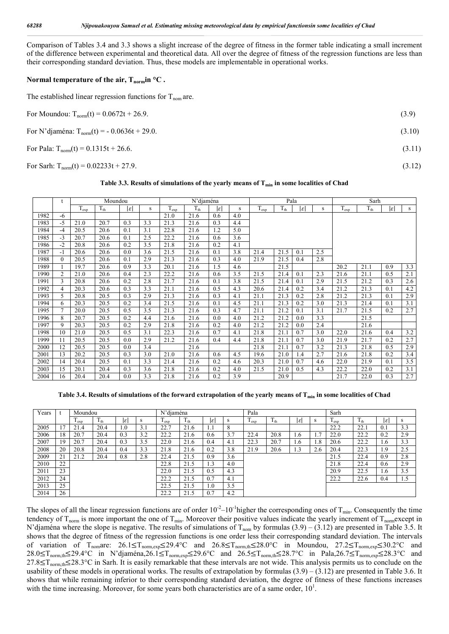Comparison of Tables 3.4 and 3.3 shows a slight increase of the degree of fitness in the former table indicating a small increment of the difference between experimental and theoretical data. All over the degree of fitness of the regression functions are less than their corresponding standard deviation. Thus, these models are implementable in operational works.

## Normal temperature of the air,  $T_{norm}$  <sup>o</sup>C.

The established linear regression functions for  $T_{\text{nom}}$  are.

| For Moundou: $T_{norm}(t) = 0.0672t + 26.9$ .    | (3.9)  |
|--------------------------------------------------|--------|
| For N'djaména: $T_{norm}(t) = -0.0636t + 29.0$ . | (3.10) |
| For Pala: $T_{norm}(t) = 0.1315t + 26.6$ .       | (3.11) |
| For Sarh: $T_{norm}(t) = 0.02233t + 27.9$ .      | (3.12) |

#### **Table 3.3. Results of simulations of the yearly means of Tmin in some localities of Chad**

|      | t        |           | Moundou  |                 |     |           | N'diaména |                 |     |           |          | Pala            |     | Sarh      |          |                 |     |
|------|----------|-----------|----------|-----------------|-----|-----------|-----------|-----------------|-----|-----------|----------|-----------------|-----|-----------|----------|-----------------|-----|
|      |          | $T_{exp}$ | $T_{th}$ | $ \varepsilon $ | S   | $T_{exp}$ | $T_{th}$  | $ \varepsilon $ | S   | $T_{exp}$ | $T_{th}$ | $ \varepsilon $ | S   | $T_{exp}$ | $T_{th}$ | $ \varepsilon $ | S   |
| 1982 | -6       |           |          |                 |     | 21.0      | 21.6      | 0.6             | 4.0 |           |          |                 |     |           |          |                 |     |
| 1983 | $-5$     | 21.0      | 20.7     | 0.3             | 3.3 | 21.3      | 21.6      | 0.3             | 4.4 |           |          |                 |     |           |          |                 |     |
| 1984 | $-4$     | 20.5      | 20.6     | 0.1             | 3.1 | 22.8      | 21.6      | 1.2             | 5.0 |           |          |                 |     |           |          |                 |     |
| 1985 | $-3$     | 20.7      | 20.6     | 0.1             | 2.5 | 22.2      | 21.6      | 0.6             | 3.6 |           |          |                 |     |           |          |                 |     |
| 1986 | $-2$     | 20.8      | 20.6     | 0.2             | 3.5 | 21.8      | 21.6      | 0.2             | 4.1 |           |          |                 |     |           |          |                 |     |
| 1987 | $-1$     | 20.6      | 20.6     | 0.0             | 3.6 | 21.5      | 21.6      | 0.1             | 3.8 | 21.4      | 21.5     | 0.1             | 2.5 |           |          |                 |     |
| 1988 | $\theta$ | 20.5      | 20.6     | 0.1             | 2.9 | 21.3      | 21.6      | 0.3             | 4.0 | 21.9      | 21.5     | 0.4             | 2.8 |           |          |                 |     |
| 1989 |          | 19.7      | 20.6     | 0.9             | 3.3 | 20.1      | 21.6      | 1.5             | 4.6 |           | 21.5     |                 |     | 20.2      | 21.1     | 0.9             | 3.3 |
| 1990 | 2        | 21.0      | 20.6     | 0.4             | 2.3 | 22.2      | 21.6      | 0.6             | 3.5 | 21.5      | 21.4     | 0.1             | 2.3 | 21.6      | 21.1     | 0.5             | 2.1 |
| 1991 | 3        | 20.8      | 20.6     | 0.2             | 2.8 | 21.7      | 21.6      | 0.1             | 3.8 | 21.5      | 21.4     | 0.1             | 2.9 | 21.5      | 21.2     | 0.3             | 2.6 |
| 1992 | 4        | 20.3      | 20.6     | 0.3             | 3.3 | 21.1      | 21.6      | 0.5             | 4.3 | 20.6      | 21.4     | 0.2             | 3.4 | 21.2      | 21.3     | 0.1             | 4.2 |
| 1993 | 5        | 20.8      | 20.5     | 0.3             | 2.9 | 21.3      | 21.6      | 0.3             | 4.1 | 21.1      | 21.3     | 0.2             | 2.8 | 21.2      | 21.3     | 0.1             | 2.9 |
| 1994 | 6        | 20.3      | 20.5     | 0.2             | 3.4 | 21.5      | 21.6      | 0.1             | 4.5 | 21.1      | 21.3     | 0.2             | 3.0 | 21.3      | 21.4     | 0.1             | 3.1 |
| 1995 | $\tau$   | 20.0      | 20.5     | 0.5             | 3.5 | 21.3      | 21.6      | 0.3             | 4.7 | 21.1      | 21.2     | 0.1             | 3.1 | 21.7      | 21.5     | 0.2             | 2.7 |
| 1996 | 8        | 20.7      | 20.5     | 0.2             | 4.4 | 21.6      | 21.6      | 0.0             | 4.0 | 21.2      | 21.2     | 0.0             | 3.3 |           | 21.5     |                 |     |
| 1997 | 9        | 20.3      | 20.5     | 0.2             | 2.9 | 21.8      | 21.6      | 0.2             | 4.0 | 21.2      | 21.2     | 0.0             | 2.4 |           | 21.6     |                 |     |
| 1998 | 10       | 21.0      | 20.5     | 0.5             | 3.1 | 22.3      | 21.6      | 0.7             | 4.1 | 21.8      | 21.1     | 0.7             | 3.0 | 22.0      | 21.6     | 0.4             | 3.2 |
| 1999 | 11       | 20.5      | 20.5     | 0.0             | 2.9 | 21.2      | 21.6      | 0.4             | 4.4 | 21.8      | 21.1     | 0.7             | 3.0 | 21.9      | 21.7     | 0.2             | 2.7 |
| 2000 | 12       | 20.5      | 20.5     | 0.0             | 3.4 |           | 21.6      |                 |     | 21.8      | 21.1     | 0.7             | 3.2 | 21.3      | 21.8     | 0.5             | 2.9 |
| 2001 | 13       | 20.2      | 20.5     | 0.3             | 3.0 | 21.0      | 21.6      | 0.6             | 4.5 | 19.6      | 21.0     | 1.4             | 2.7 | 21.6      | 21.8     | 0.2             | 3.4 |
| 2002 | 14       | 20.4      | 20.5     | 0.1             | 3.3 | 21.4      | 21.6      | 0.2             | 4.6 | 20.3      | 21.0     | 0.7             | 4.6 | 22.0      | 21.9     | 0.1             | 3.5 |
| 2003 | 15       | 20.1      | 20.4     | 0.3             | 3.6 | 21.8      | 21.6      | 0.2             | 4.0 | 21.5      | 21.0     | 0.5             | 4.3 | 22.2      | 22.0     | 0.2             | 3.1 |
| 2004 | 16       | 20.4      | 20.4     | 0.0             | 3.3 | 21.8      | 21.6      | 0.2             | 3.9 |           | 20.9     |                 |     | 21.7      | 22.0     | 0.3             | 2.7 |

Table 3.4. Results of simulations of the forward extrapolation of the yearly means of T<sub>min</sub> in some localities of Chad

| Years |                | Moundou |                          |                 |     | N'diaména        |                 |     |     | Pala                                      |                                 |                 |                | Sarh                         |                 |     |     |
|-------|----------------|---------|--------------------------|-----------------|-----|------------------|-----------------|-----|-----|-------------------------------------------|---------------------------------|-----------------|----------------|------------------------------|-----------------|-----|-----|
|       |                | exp     | $\mathbf{1}_{\text{th}}$ | $ \varepsilon $ | S   | <sup>L</sup> exp | 1 <sub>th</sub> | lε  | S   | $\mathbf{T}$<br>$\mathbf{1}_{\text{exp}}$ | $\mathbf{T}$<br>$1_{\text{th}}$ | $ \mathcal{E} $ | S              | $\mathbf{r}$<br>$_{\rm exp}$ | $1_{\text{th}}$ | اءا | s   |
| 2005  | $\overline{7}$ | 21.4    | 20.4                     | 1.0             | 3.1 | 22.7             | 21.6            | 1.1 | 8   |                                           |                                 |                 |                | 22.2                         | 22.1            | 0.1 | 3.3 |
| 2006  | 18             | 20.7    | 20.4                     | 0.3             | 3.2 | 22.2             | 21.6            | 0.6 | 3.7 | 22.4                                      | 20.8                            | 1.6             | $\overline{ }$ | 22.0                         | 22.2            | 0.2 | 2.9 |
| 2007  | 19             | 20.7    | 20.4                     | 0.3             | 3.5 | 22.0             | 21.6            | 0.4 | 4.1 | 22.3                                      | 20.7                            | 1.6             | 1.8            | 20.6                         | 22.2            | 1.6 | 3.3 |
| 2008  | 20             | 20.8    | 20.4                     | 0.4             | 3.3 | 21.8             | 21.6            | 0.2 | 3.8 | 21.9                                      | 20.6                            | .3              | 2.6            | 20.4                         | 22.3            | i.9 | 2.5 |
| 2009  | 21             | 21.2    | 20.4                     | 0.8             | 2.8 | 22.4             | 21.5            | 0.9 | 3.6 |                                           |                                 |                 |                | 21.5                         | 22.4            | 0.9 | 2.8 |
| 2010  | 22             |         |                          |                 |     | 22.8             | 21.5            | 1.3 | 4.0 |                                           |                                 |                 |                | 21.8                         | 22.4            | 0.6 | 2.9 |
| 2011  | 23             |         |                          |                 |     | 22.0             | 21.5            | 0.5 | 4.3 |                                           |                                 |                 |                | 20.9                         | 22.5            | 1.6 | 3.5 |
| 2012  | 24             |         |                          |                 |     | 22.2             | 21.5            | 0.7 | 4.1 |                                           |                                 |                 |                | 22.2                         | 22.6            | 0.4 | 1.5 |
| 2013  | 25             |         |                          |                 |     | 22.5             | 21.5            | 0.1 | 3.5 |                                           |                                 |                 |                |                              |                 |     |     |
| 2014  | 26             |         |                          |                 |     | 22.2             | 21.5            | ሰ 7 | 4.2 |                                           |                                 |                 |                |                              |                 |     |     |

The slopes of all the linear regression functions are of order  $10^{-2}$ – $10^{-1}$ higher the corresponding ones of T<sub>min</sub>. Consequently the time tendency of  $T_{\text{norm}}$  is more important the one of  $T_{\text{min}}$ . Moreover their positive values indicate the yearly increment of  $T_{\text{norm}}$ except in N'djaména where the slope is negative. The results of simulations of  $T_{nom}$  by formulas (3.9) – (3.12) are presented in Table 3.5. It shows that the degree of fitness of the regression functions is one order less their corresponding standard deviation. The intervals of variation of Tnomare: 26.1≤Tnorm,exp≤29.4°C and 26.8≤Tnorm,th≤28.0°C in Moundou, 27.2≤Tnorm,exp≤30.2°C and 28.0≤T<sub>norm,th</sub>≤29.4°C in N'djaména,26.1≤T<sub>norm,exp</sub>≤29.6°C and 26.5≤T<sub>norm,th</sub>≤28.7°C in Pala,26.7≤T<sub>norm,exp</sub>≤28.3°C and 27.8≤T<sub>norm,th</sub>≤28.3°C in Sarh. It is easily remarkable that these intervals are not wide. This analysis permits us to conclude on the usability of these models in operational works. The results of extrapolation by formulas  $(3.9) - (3.12)$  are presented in Table 3.6. It shows that while remaining inferior to their corresponding standard deviation, the degree of fitness of these functions increases with the time increasing. Moreover, for some years both characteristics are of a same order,  $10<sup>1</sup>$ .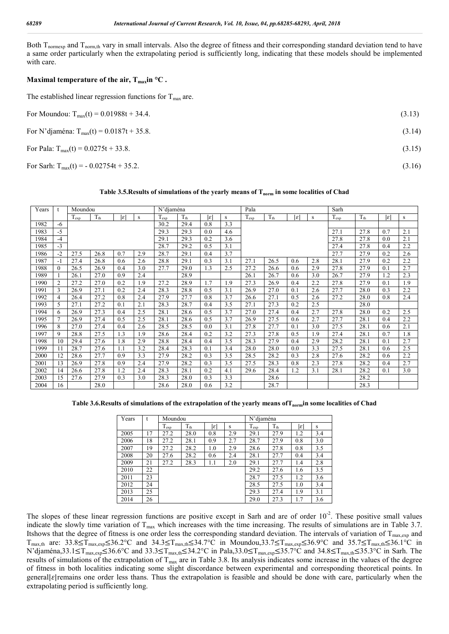Both T<sub>normexp</sub> and T<sub>norm,th</sub> vary in small intervals. Also the degree of fitness and their corresponding standard deviation tend to have a same order particularly when the extrapolating period is sufficiently long, indicating that these models should be implemented with care.

## **Maximal temperature of the air,**  $T_{\text{max}}$ **in °C.**

The established linear regression functions for  $T_{\text{max}}$  are.

| For Moundou: $T_{max}(t) = 0.01988t + 34.4$ .  | (3.13) |
|------------------------------------------------|--------|
| For N'djaména: $T_{max}(t) = 0.0187t + 35.8$ . | (3.14) |
| For Pala: $T_{max}(t) = 0.0275t + 33.8$ .      | (3.15) |
| For Sarh: $T_{max}(t) = -0.02754t + 35.2$ .    | (3.16) |

### Table 3.5. Results of simulations of the yearly means of T<sub>norm</sub> in some localities of Chad

| Years | $\mathbf t$    | Moundou   |              |                 |     | N'djaména     |                 | Pala            |     |           |                 | Sarh            |     |           |                     |     |                  |
|-------|----------------|-----------|--------------|-----------------|-----|---------------|-----------------|-----------------|-----|-----------|-----------------|-----------------|-----|-----------|---------------------|-----|------------------|
|       |                | $T_{exp}$ | $T_{\rm th}$ | $ \varepsilon $ | s   | $T_{\rm exp}$ | $T_{\text{th}}$ | $ \varepsilon $ | s   | $T_{exp}$ | $T_{\text{th}}$ | $ \varepsilon $ | s   | $T_{exp}$ | $\overline{T_{th}}$ | lεl | s                |
| 1982  | $-6$           |           |              |                 |     | 30.2          | 29.4            | 0.8             | 3.3 |           |                 |                 |     |           |                     |     |                  |
| 1983  | $-5$           |           |              |                 |     | 29.3          | 29.3            | 0.0             | 4.6 |           |                 |                 |     | 27.1      | 27.8                | 0.7 | 2.1              |
| 1984  | $-4$           |           |              |                 |     | 29.1          | 29.3            | 0.2             | 3.6 |           |                 |                 |     | 27.8      | 27.8                | 0.0 | 2.1              |
| 1985  | $-3$           |           |              |                 |     | 28.7          | 29.2            | 0.5             | 3.1 |           |                 |                 |     | 27.4      | 27.8                | 0.4 | 2.2              |
| 1986  | $-2$           | 27.5      | 26.8         | 0.7             | 2.9 | 28.7          | 29.1            | 0.4             | 3.7 |           |                 |                 |     | 27.7      | 27.9                | 0.2 | 2.6              |
| 1987  | $-1$           | 27.4      | 26.8         | 0.6             | 2.6 | 28.8          | 29.1            | 0.3             | 3.1 | 27.1      | 26.5            | 0.6             | 2.8 | 28.1      | 27.9                | 0.2 | 2.2              |
| 1988  | $\Omega$       | 26.5      | 26.9         | 0.4             | 3.0 | 27.7          | 29.0            | 1.3             | 2.5 | 27.2      | 26.6            | 0.6             | 2.9 | 27.8      | 27.9                | 0.1 | 2.7              |
| 1989  |                | 26.1      | 27.0         | 0.9             | 2.4 |               | 28.9            |                 |     | 26.1      | 26.7            | 0.6             | 3.0 | 26.7      | 27.9                | 1.2 | $\overline{2.3}$ |
| 1990  | $\overline{2}$ | 27.2      | 27.0         | 0.2             | 1.9 | 27.2          | 28.9            | 1.7             | 1.9 | 27.3      | 26.9            | 0.4             | 2.2 | 27.8      | 27.9                | 0.1 | 1.9              |
| 1991  | 3              | 26.9      | 27.1         | 0.2             | 2.4 | 28.3          | 28.8            | 0.5             | 3.1 | 26.9      | 27.0            | 0.1             | 2.6 | 27.7      | 28.0                | 0.3 | 2.2              |
| 1992  | $\overline{4}$ | 26.4      | 27.2         | 0.8             | 2.4 | 27.9          | 27.7            | 0.8             | 3.7 | 26.6      | 27.1            | 0.5             | 2.6 | 27.2      | 28.0                | 0.8 | 2.4              |
| 1993  | 5              | 27.1      | 27.2         | 0.1             | 2.1 | 28.3          | 28.7            | 0.4             | 3.5 | 27.1      | 27.3            | 0.2             | 2.5 |           | 28.0                |     |                  |
| 1994  | 6              | 26.9      | 27.3         | 0.4             | 2.5 | 28.1          | 28.6            | 0.5             | 3.7 | 27.0      | 27.4            | 0.4             | 2.7 | 27.8      | 28.0                | 0.2 | 2.5              |
| 1995  | $\tau$         | 26.9      | 27.4         | 0.5             | 2.5 | 28.1          | 28.6            | 0.5             | 3.7 | 26.9      | 27.5            | 0.6             | 2.7 | 27.7      | 28.1                | 0.4 | 2.2              |
| 1996  | 8              | 27.0      | 27.4         | 0.4             | 2.6 | 28.5          | 28.5            | 0.0             | 3.1 | 27.8      | 27.7            | 0.1             | 3.0 | 27.5      | 28.1                | 0.6 | 2.1              |
| 1997  | 9              | 28.8      | 27.5         | 1.3             | 1.9 | 28.6          | 28.4            | 0.2             | 3.2 | 27.3      | 27.8            | 0.5             | 1.9 | 27.4      | 28.1                | 0.7 | 1.8              |
| 1998  | 10             | 29.4      | 27.6         | 1.8             | 2.9 | 28.8          | 28.4            | 0.4             | 3.5 | 28.3      | 27.9            | 0.4             | 2.9 | 28.2      | 28.1                | 0.1 | 2.7              |
| 1999  | 11             | 28.7      | 27.6         | 1.1             | 3.2 | 28.4          | 28.3            | 0.1             | 3.4 | 28.0      | 28.0            | 0.0             | 3.3 | 27.5      | 28.1                | 0.6 | 2.5              |
| 2000  | 12             | 28.6      | 27.7         | 0.9             | 3.3 | 27.9          | 28.2            | 0.3             | 3.5 | 28.5      | 28.2            | 0.3             | 2.8 | 27.6      | 28.2                | 0.6 | 2.2              |
| 2001  | 13             | 26.9      | 27.8         | 0.9             | 2.4 | 27.9          | 28.2            | 0.3             | 3.5 | 27.5      | 28.3            | 0.8             | 2.3 | 27.8      | 28.2                | 0.4 | 2.7              |
| 2002  | 14             | 26.6      | 27.8         | 1.2             | 2.4 | 28.3          | 28.1            | 0.2             | 4.1 | 29.6      | 28.4            | 1.2             | 3.1 | 28.1      | 28.2                | 0.1 | 3.0              |
| 2003  | 15             | 27.6      | 27.9         | 0.3             | 3.0 | 28.3          | 28.0            | 0.3             | 3.3 |           | 28.6            |                 |     |           | 28.2                |     |                  |
| 2004  | 16             |           | 28.0         |                 |     | 28.6          | 28.0            | 0.6             | 3.2 |           | 28.7            |                 |     |           | 28.3                |     |                  |

Table 3.6.Results of simulations of the extrapolation of the yearly means of T<sub>norm</sub>in some localities of Chad

| Years |    | Moundou   |          |     |     | N'diaména |              |     |     |
|-------|----|-----------|----------|-----|-----|-----------|--------------|-----|-----|
|       |    | $T_{exp}$ | $T_{th}$ | lεl | S   | $T_{exp}$ | $T_{\rm th}$ | lεl | s   |
| 2005  | 17 | 27.2      | 28.0     | 0.8 | 2.9 | 29.1      | 27.9         | 1.2 | 3.4 |
| 2006  | 18 | 27.2      | 28.1     | 0.9 | 2.7 | 28.7      | 27.9         | 0.8 | 3.0 |
| 2007  | 19 | 27.2      | 28.2     | 1.0 | 2.9 | 28.6      | 27.8         | 0.8 | 3.5 |
| 2008  | 20 | 27.6      | 28.2     | 0.6 | 2.4 | 28.1      | 27.7         | 0.4 | 3.4 |
| 2009  | 21 | 27.2      | 28.3     |     | 2.0 | 29.1      | 27.7         | 1.4 | 2.8 |
| 2010  | 22 |           |          |     |     | 29.2      | 27.6         | 1.6 | 3.5 |
| 2011  | 23 |           |          |     |     | 28.7      | 27.5         | 1.2 | 3.6 |
| 2012  | 24 |           |          |     |     | 28.5      | 27.5         | 1.0 | 3.4 |
| 2013  | 25 |           |          |     |     | 29.3      | 27.4         | 1.9 | 3.1 |
| 2014  | 26 |           |          |     |     | 29.0      | 27.3         | 1.7 | 3.6 |

The slopes of these linear regression functions are positive except in Sarh and are of order  $10^{-2}$ . These positive small values indicate the slowly time variation of  $T_{\text{max}}$  which increases with the time increasing. The results of simulations are in Table 3.7. Itshows that the degree of fitness is one order less the corresponding standard deviation. The intervals of variation of  $T_{\text{max,exp}}$  and  $T_{\text{max,th}}$  are: 33.8≤T<sub>max,exp</sub>≤36.2°C and 34.3≤T<sub>max,th</sub>≤34.7°C in Moundou,33.7≤T<sub>max,exp</sub>≤36.9°C and 35.7≤T<sub>max,th</sub>≤36.1°C in N'djaména,33.1≤T<sub>max,exp</sub>≤36.6°C and 33.3≤T<sub>max,th</sub>≤34.2°C in Pala,33.0≤T<sub>max,exp</sub>≤35.7°C and 34.8≤T<sub>max,th</sub>≤35.3°C in Sarh. The results of simulations of the extrapolation of  $T_{\text{max}}$  are in Table 3.8. Its analysis indicates some increase in the values of the degree of fitness in both localities indicating some slight discordance between experimental and corresponding theoretical points. In general $|\varepsilon|$  remains one order less thans. Thus the extrapolation is feasible and should be done with care, particularly when the extrapolating period is sufficiently long.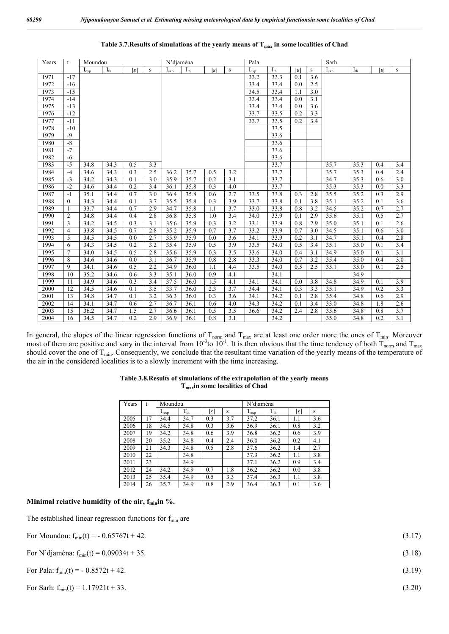| Years | t              | Moundou   |          |                 |           | N'djaména |          |                 |     | Pala      |          |                 |         | Sarh      |          |     |             |  |
|-------|----------------|-----------|----------|-----------------|-----------|-----------|----------|-----------------|-----|-----------|----------|-----------------|---------|-----------|----------|-----|-------------|--|
|       |                | $I_{exp}$ | $I_{th}$ | $ \varepsilon $ | ${\bf S}$ | $I_{exp}$ | $I_{th}$ | $ \varepsilon $ | S   | $I_{exp}$ | $I_{th}$ | $ \varepsilon $ | $\rm S$ | $I_{exp}$ | $I_{th}$ | lεl | $\mathbf S$ |  |
| 1971  | $-17$          |           |          |                 |           |           |          |                 |     | 33.2      | 33.3     | 0.1             | 3.6     |           |          |     |             |  |
| 1972  | $-16$          |           |          |                 |           |           |          |                 |     | 33.4      | 33.4     | 0.0             | 2.5     |           |          |     |             |  |
| 1973  | $-15$          |           |          |                 |           |           |          |                 |     | 34.5      | 33.4     | 1.1             | 3.0     |           |          |     |             |  |
| 1974  | $-14$          |           |          |                 |           |           |          |                 |     | 33.4      | 33.4     | 0.0             | 3.1     |           |          |     |             |  |
| 1975  | $-13$          |           |          |                 |           |           |          |                 |     | 33.4      | 33.4     | 0.0             | 3.6     |           |          |     |             |  |
| 1976  | $-12$          |           |          |                 |           |           |          |                 |     | 33.7      | 33.5     | 0.2             | 3.3     |           |          |     |             |  |
| 1977  | $-11$          |           |          |                 |           |           |          |                 |     | 33.7      | 33.5     | 0.2             | 3.4     |           |          |     |             |  |
| 1978  | $-10$          |           |          |                 |           |           |          |                 |     |           | 33.5     |                 |         |           |          |     |             |  |
| 1979  | $-9$           |           |          |                 |           |           |          |                 |     |           | 33.6     |                 |         |           |          |     |             |  |
| 1980  | $-8$           |           |          |                 |           |           |          |                 |     |           | 33.6     |                 |         |           |          |     |             |  |
| 1981  | $-7$           |           |          |                 |           |           |          |                 |     |           | 33.6     |                 |         |           |          |     |             |  |
| 1982  | $-6$           |           |          |                 |           |           |          |                 |     |           | 33.6     |                 |         |           |          |     |             |  |
| 1983  | $-5$           | 34.8      | 34.3     | 0.5             | 3.3       |           |          |                 |     |           | 33.7     |                 |         | 35.7      | 35.3     | 0.4 | 3.4         |  |
| 1984  | $-4$           | 34.6      | 34.3     | 0.3             | 2.5       | 36.2      | 35.7     | 0.5             | 3.2 |           | 33.7     |                 |         | 35.7      | 35.3     | 0.4 | 2.4         |  |
| 1985  | $-3$           | 34.2      | 34.3     | 0.1             | 3.0       | 35.9      | 35.7     | 0.2             | 3.1 |           | 33.7     |                 |         | 34.7      | 35.3     | 0.6 | 3.0         |  |
| 1986  | $-2$           | 34.6      | 34.4     | 0.2             | 3.4       | 36.1      | 35.8     | 0.3             | 4.0 |           | 33.7     |                 |         | 35.3      | 35.3     | 0.0 | 3.3         |  |
| 1987  | $-1$           | 35.1      | 34.4     | 0.7             | 3.0       | 36.4      | 35.8     | 0.6             | 2.7 | 33.5      | 33.8     | 0.3             | 2.8     | 35.5      | 35.2     | 0.3 | 2.9         |  |
| 1988  | $\mathbf{0}$   | 34.3      | 34.4     | 0.1             | 3.7       | 35.5      | 35.8     | 0.3             | 3.9 | 33.7      | 33.8     | 0.1             | 3.8     | 35.1      | 35.2     | 0.1 | 3.6         |  |
| 1989  | $\mathbf{1}$   | 33.7      | 34.4     | 0.7             | 2.9       | 34.7      | 35.8     | 1.1             | 3.7 | 33.0      | 33.8     | 0.8             | 3.2     | 34.5      | 35.2     | 0.7 | 2.7         |  |
| 1990  | $\overline{2}$ | 34.8      | 34.4     | 0.4             | 2.8       | 36.8      | 35.8     | 1.0             | 3.4 | 34.0      | 33.9     | 0.1             | 2.9     | 35.6      | 35.1     | 0.5 | 2.7         |  |
| 1991  | 3              | 34.2      | 34.5     | 0.3             | 3.1       | 35.6      | 35.9     | 0.3             | 3.2 | 33.1      | 33.9     | 0.8             | 2.9     | 35.0      | 35.1     | 0.1 | 2.6         |  |
| 1992  | $\overline{4}$ | 33.8      | 34.5     | 0.7             | 2.8       | 35.2      | 35.9     | 0.7             | 3.7 | 33.2      | 33.9     | 0.7             | 3.0     | 34.5      | 35.1     | 0.6 | 3.0         |  |
| 1993  | 5              | 34.5      | 34.5     | 0.0             | 2.7       | 35.9      | 35.9     | 0.0             | 3.6 | 34.1      | 33.9     | 0.2             | 3.1     | 34.7      | 35.1     | 0.4 | 2.8         |  |
| 1994  | 6              | 34.3      | 34.5     | 0.2             | 3.2       | 35.4      | 35.9     | 0.5             | 3.9 | 33.5      | 34.0     | 0.5             | 3.4     | 35.1      | 35.0     | 0.1 | 3.4         |  |
| 1995  | $\overline{7}$ | 34.0      | 34.5     | 0.5             | 2.8       | 35.6      | 35.9     | 0.3             | 3.5 | 33.6      | 34.0     | 0.4             | 3.1     | 34.9      | 35.0     | 0.1 | 3.1         |  |
| 1996  | 8              | 34.6      | 34.6     | 0.0             | 3.1       | 36.7      | 35.9     | 0.8             | 2.8 | 33.3      | 34.0     | 0.7             | 3.2     | 35.4      | 35.0     | 0.4 | 3.0         |  |
| 1997  | 9              | 34.1      | 34.6     | 0.5             | 2.2       | 34.9      | 36.0     | 1.1             | 4.4 | 33.5      | 34.0     | 0.5             | 2.5     | 35.1      | 35.0     | 0.1 | 2.5         |  |
| 1998  | 10             | 35.2      | 34.6     | 0.6             | 3.3       | 35.1      | 36.0     | 0.9             | 4.1 |           | 34.1     |                 |         |           | 34.9     |     |             |  |
| 1999  | 11             | 34.9      | 34.6     | 0.3             | 3.4       | 37.5      | 36.0     | 1.5             | 4.1 | 34.1      | 34.1     | 0.0             | 3.8     | 34.8      | 34.9     | 0.1 | 3.9         |  |
| 2000  | 12             | 34.5      | 34.6     | 0.1             | 3.5       | 33.7      | 36.0     | 2.3             | 3.7 | 34.4      | 34.1     | 0.3             | 3.3     | 35.1      | 34.9     | 0.2 | 3.3         |  |
| 2001  | 13             | 34.8      | 34.7     | 0.1             | 3.2       | 36.3      | 36.0     | 0.3             | 3.6 | 34.1      | 34.2     | 0.1             | 2.8     | 35.4      | 34.8     | 0.6 | 2.9         |  |
| 2002  | 14             | 34.1      | 34.7     | 0.6             | 2.7       | 36.7      | 36.1     | 0.6             | 4.0 | 34.3      | 34.2     | 0.1             | 3.4     | 33.0      | 34.8     | 1.8 | 2.6         |  |
| 2003  | 15             | 36.2      | 34.7     | 1.5             | 2.7       | 36.6      | 36.1     | 0.5             | 3.5 | 36.6      | 34.2     | 2.4             | 2.8     | 35.6      | 34.8     | 0.8 | 3.7         |  |
| 2004  | 16             | 34.5      | 34.7     | 0.2             | 2.9       | 36.9      | 36.1     | 0.8             | 3.1 |           | 34.2     |                 |         | 35.0      | 34.8     | 0.2 | 3.1         |  |

In general, the slopes of the linear regression functions of  $T_{\text{norm}}$  and  $T_{\text{max}}$  are at least one order more the ones of  $T_{\text{min}}$ . Moreover most of them are positive and vary in the interval from  $10^{-3}$ to  $10^{-1}$ . It is then obvious that the time tendency of both T<sub>norm</sub> and T<sub>max</sub> should cover the one of  $T_{min}$ . Consequently, we conclude that the resultant time variation of the yearly means of the temperature of the air in the considered localities is to a slowly increment with the time increasing.

| Years |    | Moundou   |              |     |     | N'diaména |              |     |     |  |  |
|-------|----|-----------|--------------|-----|-----|-----------|--------------|-----|-----|--|--|
|       |    | $T_{exp}$ | $T_{\rm th}$ | lεl | S   | $T_{exp}$ | $T_{\rm th}$ | lεl | S   |  |  |
| 2005  | 17 | 34.4      | 34.7         | 0.3 | 3.7 | 37.2      | 36.1         | 1.1 | 3.6 |  |  |
| 2006  | 18 | 34.5      | 34.8         | 0.3 | 3.6 | 36.9      | 36.1         | 0.8 | 3.2 |  |  |
| 2007  | 19 | 34.2      | 34.8         | 0.6 | 3.9 | 36.8      | 36.2         | 0.6 | 3.9 |  |  |
| 2008  | 20 | 35.2      | 34.8         | 0.4 | 2.4 | 36.0      | 36.2         | 0.2 | 4.1 |  |  |
| 2009  | 21 | 34.3      | 34.8         | 0.5 | 2.8 | 37.6      | 36.2         | 1.4 | 2.7 |  |  |
| 2010  | 22 |           | 34.8         |     |     | 37.3      | 36.2         | 1.1 | 3.8 |  |  |
| 2011  | 23 |           | 34.9         |     |     | 37.1      | 36.2         | 0.9 | 3.4 |  |  |
| 2012  | 24 | 34.2      | 34.9         | 0.7 | 1.8 | 36.2      | 36.2         | 0.0 | 3.8 |  |  |
| 2013  | 25 | 35.4      | 34.9         | 0.5 | 3.3 | 37.4      | 36.3         | 1.1 | 3.8 |  |  |
| 2014  | 26 | 35.7      | 34.9         | 0.8 | 2.9 | 36.4      | 36.3         | 0.1 | 3.6 |  |  |

#### **Table 3.8.Results of simulations of the extrapolation of the yearly means Tmaxin some localities of Chad**

## Minimal relative humidity of the air, f<sub>min</sub>in %.

The established linear regression functions for  $f_{min}$  are

| For Moundou: $f_{min}(t) = -0.65767t + 42$ .  | (3.17) |
|-----------------------------------------------|--------|
| For N'djaména: $f_{min}(t) = 0.09034t + 35$ . | (3.18) |
| For Pala: $f_{min}(t) = -0.8572t + 42$ .      | (3.19) |
| For Sarh: $f_{min}(t) = 1.17921t + 33$ .      | (3.20) |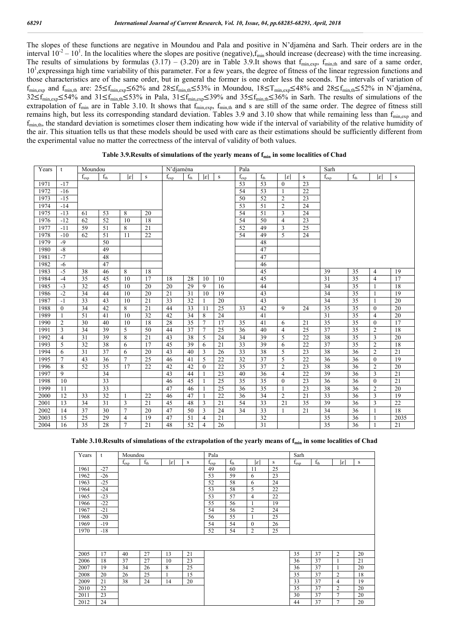The slopes of these functions are negative in Moundou and Pala and positive in N'djaména and Sarh. Their orders are in the interval  $10^{-2} - 10^{1}$ . In the localities where the slopes are positive (negative),  $f_{min}$  should increase (decrease) with the time increasing. The results of simulations by formulas  $(3.17) - (3.20)$  are in Table 3.9.It shows that  $f_{\text{min,exp}}$ ,  $f_{\text{min,th}}$  and sare of a same order, 10<sup>1</sup>, expressinga high time variability of this parameter. For a few years, the degree of fitness of the linear regression functions and those characteristics are of the same order, but in general the former is one order less the seconds. The intervals of variation of  $f_{\text{min,exp}}$  and  $f_{\text{min,th}}$  are: 25≤ $f_{\text{min,exp}}$ ≤62% and 28≤ $f_{\text{min,th}}$ ≤53% in Moundou, 18≤T<sub>min,exp</sub>≤48% and 28≤ $f_{\text{min,th}}$ ≤52% in N'djaména,  $32\leq f_{\text{min,exp}}\leq 54\%$  and  $31\leq f_{\text{min,th}}\leq 53\%$  in Pala,  $31\leq f_{\text{min,exp}}\leq 39\%$  and  $35\leq f_{\text{min,th}}\leq 36\%$  in Sarh. The results of simulations of the extrapolation of  $f_{min}$  are in Table 3.10. It shows that  $f_{min,exp}$ ,  $f_{min,th}$  and s are still of the same order. The degree of fitness still remains high, but less its corresponding standard deviation. Tables 3.9 and 3.10 show that while remaining less than  $f_{\text{min,exp}}$  and f<sub>min,th</sub>, the standard deviation is sometimes closer them indicating how wide if the interval of variability of the relative humidity of the air. This situation tells us that these models should be used with care as their estimations should be sufficiently different from the experimental value no matter the correctness of the interval of validity of both values.

| Years | t              | Moundou         |                 |                 |           | N'djaména       |                 |                 |        | Pala            |                 |                 |             | Sarh          |                 |                |                 |
|-------|----------------|-----------------|-----------------|-----------------|-----------|-----------------|-----------------|-----------------|--------|-----------------|-----------------|-----------------|-------------|---------------|-----------------|----------------|-----------------|
|       |                | $f_{exp}$       | $f_{th}$        | $ \varepsilon $ | ${\bf S}$ | $f_{exp}$       | $f_{th}$        | $ \varepsilon $ | $\,$ S | $f_{exp}$       | $f_{th}$        | $ \varepsilon $ | $\mathbf S$ | $f_{\rm exp}$ | $f_{th}$        | lεl            | ${\bf S}$       |
| 1971  | $-17$          |                 |                 |                 |           |                 |                 |                 |        | 53              | $\overline{53}$ | $\mathbf{0}$    | 23          |               |                 |                |                 |
| 1972  | $-16$          |                 |                 |                 |           |                 |                 |                 |        | 54              | $\overline{53}$ | $\mathbf{1}$    | 22          |               |                 |                |                 |
| 1973  | $-15$          |                 |                 |                 |           |                 |                 |                 |        | 50              | 52              | $\overline{2}$  | 23          |               |                 |                |                 |
| 1974  | $-14$          |                 |                 |                 |           |                 |                 |                 |        | 53              | 51              | $\overline{2}$  | 24          |               |                 |                |                 |
| 1975  | $-13$          | 61              | 53              | 8               | 20        |                 |                 |                 |        | 54              | 51              | $\overline{3}$  | 24          |               |                 |                |                 |
| 1976  | $-12$          | 62              | 52              | 10              | 18        |                 |                 |                 |        | 54              | 50              | $\overline{4}$  | 23          |               |                 |                |                 |
| 1977  | $-11$          | 59              | 51              | 8               | 21        |                 |                 |                 |        | 52              | 49              | 3               | 25          |               |                 |                |                 |
| 1978  | $-10$          | 62              | 51              | 11              | 22        |                 |                 |                 |        | 54              | 49              | 5               | 24          |               |                 |                |                 |
| 1979  | $-9$           |                 | 50              |                 |           |                 |                 |                 |        |                 | 48              |                 |             |               |                 |                |                 |
| 1980  | $-8$           |                 | 49              |                 |           |                 |                 |                 |        |                 | 47              |                 |             |               |                 |                |                 |
| 1981  | $-7$           |                 | 48              |                 |           |                 |                 |                 |        |                 | 47              |                 |             |               |                 |                |                 |
| 1982  | $-6$           |                 | 47              |                 |           |                 |                 |                 |        |                 | 46              |                 |             |               |                 |                |                 |
| 1983  | $-5$           | 38              | 46              | 8               | 18        |                 |                 |                 |        |                 | 45              |                 |             | 39            | 35              | $\overline{4}$ | 19              |
| 1984  | $-4$           | 35              | 45              | 10              | 17        | 18              | 28              | 10              | 10     |                 | 45              |                 |             | 31            | 35              | $\overline{4}$ | $\overline{17}$ |
| 1985  | $-3$           | 32              | 45              | 10              | 20        | 20              | 29              | 9               | 16     |                 | 44              |                 |             | 34            | 35              |                | 18              |
| 1986  | $-2$           | 34              | 44              | 10              | 20        | $\overline{21}$ | $\overline{31}$ | 10              | 19     |                 | 43              |                 |             | 34            | 35              |                | 19              |
| 1987  | $-1$           | 33              | 43              | 10              | 21        | 33              | 32              | 1               | 20     |                 | 43              |                 |             | 34            | 35              | $\mathbf{1}$   | 20              |
| 1988  | $\Omega$       | 34              | 42              | 8               | 21        | 44              | 33              | 11              | 25     | 33              | 42              | 9               | 24          | 35            | 35              | $\theta$       | 20              |
| 1989  | 1              | 51              | 41              | 10              | 32        | 42              | 34              | 8               | 24     |                 | 41              |                 |             | 31            | 35              | $\overline{4}$ | 20              |
| 1990  | $\overline{2}$ | 30              | 40              | 10              | 18        | 28              | 35              | $\overline{7}$  | 17     | 35              | 41              | 6               | 21          | 35            | 35              | $\theta$       | $\overline{17}$ |
| 1991  | 3              | 34              | 39              | 5               | 50        | 44              | 37              | $\overline{7}$  | 25     | 36              | 40              | $\overline{4}$  | 25          | 37            | 35              | $\overline{2}$ | 18              |
| 1992  | $\overline{4}$ | $\overline{31}$ | 39              | 8               | 21        | 43              | 38              | 5               | 24     | 34              | 39              | 5               | 22          | 38            | $\overline{35}$ | $\overline{3}$ | 20              |
| 1993  | 5              | 32              | 38              | 6               | 17        | 45              | 39              | 6               | 21     | 33              | 39              | 6               | 22          | 37            | 35              | $\overline{c}$ | 18              |
| 1994  | 6              | 31              | 37              | 6               | 20        | 43              | 40              | 3               | 26     | 33              | 38              | 5               | 23          | 38            | 36              | 2              | 21              |
| 1995  | $\overline{7}$ | 43              | 36              | $\overline{7}$  | 25        | 46              | 41              | 5               | 22     | 32              | 37              | 5               | 22          | 36            | 36              | $\theta$       | 19              |
| 1996  | 8              | 52              | $\overline{35}$ | 17              | 22        | 42              | 42              | $\mathbf{0}$    | 22     | $\overline{35}$ | $\overline{37}$ | $\overline{2}$  | 23          | 38            | 36              | $\overline{2}$ | $\overline{20}$ |
| 1997  | 9              |                 | 34              |                 |           | 43              | 44              | $\mathbf{1}$    | 23     | 40              | 36              | $\overline{4}$  | 22          | 39            | 36              | 3              | 21              |
| 1998  | 10             |                 | 33              |                 |           | 46              | 45              | $\mathbf{1}$    | 25     | 35              | $\overline{35}$ | $\mathbf{0}$    | 23          | 36            | 36              | $\theta$       | 21              |
| 1999  | 11             |                 | $\overline{33}$ |                 |           | 47              | 46              |                 | 25     | 36              | 35              | 1               | 23          | 38            | 36              | $\overline{2}$ | 20              |
| 2000  | 12             | 33              | 32              | 1               | 22        | 46              | 47              | -1              | 22     | 36              | 34              | 2               | 21          | 33            | 36              | 3              | 19              |
| 2001  | 13             | 34              | 31              | 3               | 21        | 45              | 48              | 3               | 21     | 54              | 33              | 21              | 35          | 39            | 36              | 3              | 22              |
| 2002  | 14             | 37              | 30              | $\tau$          | 20        | 47              | 50              | 3               | 24     | 34              | 33              | -1              | 21          | 34            | 36              |                | 18              |
| 2003  | 15             | 25              | 29              | $\overline{4}$  | 19        | 47              | 51              | $\overline{4}$  | 21     |                 | $\overline{32}$ |                 |             | 35            | 36              |                | 2035            |
| 2004  | 16             | $\overline{35}$ | 28              | $\tau$          | 21        | 48              | 52              | $\overline{4}$  | 26     |                 | $\overline{31}$ |                 |             | 35            | 36              |                | 21              |

| Table 3.9. Results of simulations of the yearly means of f <sub>min</sub> in some localities of Chad |  |  |
|------------------------------------------------------------------------------------------------------|--|--|
|------------------------------------------------------------------------------------------------------|--|--|

### Table 3.10. Results of simulations of the extrapolation of the yearly means of f<sub>min</sub> in some localities of Chad

| Years | t     | Moundou   |          |     |        | Pala      |          |                |    | Sarh      |          |                |    |
|-------|-------|-----------|----------|-----|--------|-----------|----------|----------------|----|-----------|----------|----------------|----|
|       |       | $f_{exp}$ | $f_{th}$ | lεl | $\,$ s | $f_{exp}$ | $f_{th}$ | lεl            | S  | $f_{exp}$ | $f_{th}$ | lεl            | S  |
| 1961  | $-27$ |           |          |     |        | 49        | 60       | 11             | 25 |           |          |                |    |
| 1962  | $-26$ |           |          |     |        | 53        | 59       | 6              | 23 |           |          |                |    |
| 1963  | $-25$ |           |          |     |        | 52        | 58       | 6              | 24 |           |          |                |    |
| 1964  | $-24$ |           |          |     |        | 53        | 58       | 5              | 22 |           |          |                |    |
| 1965  | $-23$ |           |          |     |        | 53        | 57       | 4              | 22 |           |          |                |    |
| 1966  | $-22$ |           |          |     |        | 55        | 56       | 1              | 19 |           |          |                |    |
| 1967  | $-21$ |           |          |     |        | 54        | 56       | $\overline{2}$ | 24 |           |          |                |    |
| 1968  | $-20$ |           |          |     |        | 56        | 55       | 1              | 25 |           |          |                |    |
| 1969  | $-19$ |           |          |     |        | 54        | 54       | $\mathbf{0}$   | 26 |           |          |                |    |
| 1970  | $-18$ |           |          |     |        | 52        | 54       | $\overline{2}$ | 25 |           |          |                |    |
|       |       |           |          |     |        |           |          |                |    |           |          |                |    |
|       |       |           |          |     |        |           |          |                |    |           |          |                |    |
| 2005  | 17    | 40        | 27       | 13  | 21     |           |          |                |    | 35        | 37       | $\overline{c}$ | 20 |
| 2006  | 18    | 37        | 27       | 10  | 23     |           |          |                |    | 36        | 37       | 1              | 21 |
| 2007  | 19    | 34        | 26       | 8   | 25     |           |          |                |    | 36        | 37       | 1              | 20 |
| 2008  | 20    | 26        | 25       | 1   | 15     |           |          |                |    | 35        | 37       | $\overline{c}$ | 18 |
| 2009  | 21    | 38        | 24       | 14  | 20     |           |          |                |    | 33        | 37       | 4              | 19 |
| 2010  | 22    |           |          |     |        |           |          |                |    | 35        | 37       | $\overline{c}$ | 20 |
| 2011  | 23    |           |          |     |        |           |          |                |    | 30        | 37       | $\overline{7}$ | 20 |
| 2012  | 24    |           |          |     |        |           |          |                |    | 44        | 37       | 7              | 20 |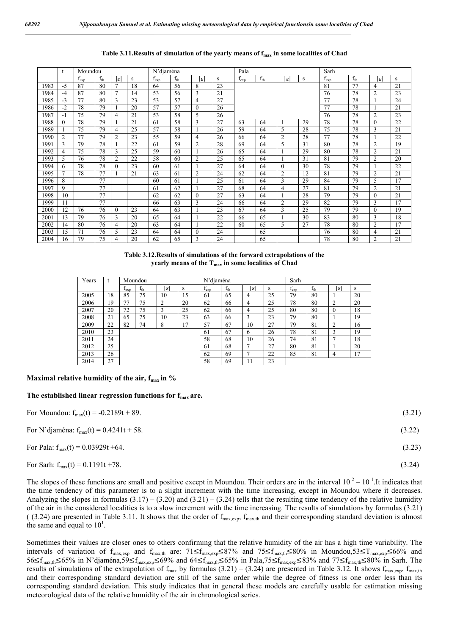|      |          | Moundou   |          |                 |    | N'djaména     |          |                |    | Pala      |          |                |    | Sarh      |          |                 |    |  |
|------|----------|-----------|----------|-----------------|----|---------------|----------|----------------|----|-----------|----------|----------------|----|-----------|----------|-----------------|----|--|
|      |          | $I_{exp}$ | $f_{th}$ | $ \varepsilon $ | s  | $f_{\rm exp}$ | $f_{th}$ | lεl            | s  | $f_{exp}$ | $f_{th}$ | $\varepsilon$  | S  | $I_{exp}$ | $f_{th}$ | $ \varepsilon $ | s  |  |
| 1983 | $-5$     | 87        | 80       | 7               | 18 | 64            | 56       | 8              | 23 |           |          |                |    | 81        | 77       | 4               | 21 |  |
| 1984 | $-4$     | 87        | 80       | $\tau$          | 14 | 53            | 56       | 3              | 21 |           |          |                |    | 76        | 78       | $\overline{2}$  | 23 |  |
| 1985 | $-3$     | 77        | 80       | 3               | 23 | 53            | 57       | 4              | 27 |           |          |                |    | 77        | 78       |                 | 24 |  |
| 1986 | $-2$     | 78        | 79       |                 | 20 | 57            | 57       | $\mathbf{0}$   | 26 |           |          |                |    | 77        | 78       |                 | 21 |  |
| 1987 | -1       | 75        | 79       | 4               | 21 | 53            | 58       | 5              | 26 |           |          |                |    | 76        | 78       | $\overline{2}$  | 23 |  |
| 1988 | $\Omega$ | 78        | 79       |                 | 21 | 61            | 58       | 3              | 27 | 63        | 64       |                | 29 | 78        | 78       | $\theta$        | 22 |  |
| 1989 |          | 75        | 79       | 4               | 25 | 57            | 58       |                | 26 | 59        | 64       | 5              | 28 | 75        | 78       | 3               | 21 |  |
| 1990 | 2        | 77        | 79       | 2               | 23 | 55            | 59       | 4              | 26 | 66        | 64       | $\overline{2}$ | 28 | 77        | 78       |                 | 22 |  |
| 1991 | 3        | 79        | 78       |                 | 22 | 61            | 59       | $\overline{2}$ | 28 | 69        | 64       | 5              | 31 | 80        | 78       | $\overline{2}$  | 19 |  |
| 1992 | 4        | 75        | 78       | 3               | 25 | 59            | 60       |                | 26 | 65        | 64       |                | 29 | 80        | 78       | $\overline{2}$  | 21 |  |
| 1993 | 5        | 76        | 78       | 2               | 22 | 58            | 60       | $\overline{2}$ | 25 | 65        | 64       |                | 31 | 81        | 79       | $\overline{2}$  | 20 |  |
| 1994 | 6        | 78        | 78       | $\theta$        | 23 | 60            | 61       |                | 27 | 64        | 64       | $\theta$       | 30 | 78        | 79       |                 | 22 |  |
| 1995 |          | 78        | 77       |                 | 21 | 63            | 61       | $\overline{2}$ | 24 | 62        | 64       | $\overline{2}$ | 12 | 81        | 79       | $\overline{2}$  | 21 |  |
| 1996 | 8        |           | 77       |                 |    | 60            | 61       |                | 25 | 61        | 64       | 3              | 29 | 84        | 79       | 5               | 17 |  |
| 1997 | 9        |           | 77       |                 |    | 61            | 62       |                | 27 | 68        | 64       | 4              | 27 | 81        | 79       | $\overline{2}$  | 21 |  |
| 1998 | 10       |           | 77       |                 |    | 62            | 62       | $\Omega$       | 27 | 63        | 64       |                | 28 | 79        | 79       | $\Omega$        | 21 |  |
| 1999 | 11       |           | 77       |                 |    | 66            | 63       | 3              | 24 | 66        | 64       | $\overline{2}$ | 29 | 82        | 79       | 3               | 17 |  |
| 2000 | 12       | 76        | 76       | $\theta$        | 23 | 64            | 63       |                | 23 | 67        | 64       | 3              | 25 | 79        | 79       | $\Omega$        | 19 |  |
| 2001 | 13       | 79        | 76       | 3               | 20 | 65            | 64       |                | 22 | 66        | 65       |                | 30 | 83        | 80       | 3               | 18 |  |
| 2002 | 14       | 80        | 76       | 4               | 20 | 63            | 64       |                | 22 | 60        | 65       | 5              | 27 | 78        | 80       | $\overline{2}$  | 17 |  |
| 2003 | 15       | 71        | 76       | 5               | 23 | 64            | 64       | $\mathbf{0}$   | 24 |           | 65       |                |    | 76        | 80       | 4               | 21 |  |
| 2004 | 16       | 79        | 75       | 4               | 20 | 62            | 65       | 3              | 24 |           | 65       |                |    | 78        | 80       | $\overline{2}$  | 21 |  |

## Table 3.11. Results of simulation of the yearly means of f<sub>max</sub> in some localities of Chad

| Table 3.12. Results of simulations of the forward extrapolations of the |  |
|-------------------------------------------------------------------------|--|
| yearly means of the $T_{\text{max}}$ in some localities of Chad         |  |

| Years |    |               | Moundou  |                 |    | N'diaména |          |    |    | Sarh          |          |          |    |  |  |
|-------|----|---------------|----------|-----------------|----|-----------|----------|----|----|---------------|----------|----------|----|--|--|
|       |    | $_{\rm lexp}$ | $f_{th}$ | $ \mathcal{E} $ | S  | $I_{exp}$ | $f_{th}$ | ıε | s  | $f_{\rm exp}$ | $f_{th}$ | ائ       | S  |  |  |
| 2005  | 18 | 85            | 75       | 10              | 15 | 61        | 65       | 4  | 25 | 79            | 80       |          | 20 |  |  |
| 2006  | 19 | 77            | 75       | ↑               | 20 | 62        | 66       | 4  | 25 | 78            | 80       | ↑        | 20 |  |  |
| 2007  | 20 | 72            | 75       | 3               | 25 | 62        | 66       | 4  | 25 | 80            | 80       | $\theta$ | 18 |  |  |
| 2008  | 21 | 65            | 75       | 10              | 23 | 63        | 66       | 3  | 23 | 79            | 80       |          | 19 |  |  |
| 2009  | 22 | 82            | 74       | 8               | 17 | 57        | 67       | 10 | 27 | 79            | 81       | 2        | 16 |  |  |
| 2010  | 23 |               |          |                 |    | 61        | 67       | 6  | 26 | 78            | 81       | 3        | 19 |  |  |
| 2011  | 24 |               |          |                 |    | 58        | 68       | 10 | 26 | 74            | 81       | π        | 18 |  |  |
| 2012  | 25 |               |          |                 |    | 61        | 68       | ⇁  | 27 | 80            | 81       |          | 20 |  |  |
| 2013  | 26 |               |          |                 |    | 62        | 69       | ⇁  | 22 | 85            | 81       | 4        | 17 |  |  |
| 2014  | 27 |               |          |                 |    | 58        | 69       | 11 | 23 |               |          |          |    |  |  |

### **Maximal relative humidity of the air, f<sub>max</sub> in %**

#### **The established linear regression functions for fmax are.**

| For Moundou: $f_{max}(t) = -0.2189t + 89$ .  | (3.21) |
|----------------------------------------------|--------|
| For N'djaména: $f_{max}(t) = 0.4241t + 58$ . | (3.22) |
| For Pala: $f_{max}(t) = 0.03929t + 64$ .     | (3.23) |
| For Sarh: $f_{max}(t) = 0.1191t + 78$ .      | (3.24) |

The slopes of these functions are small and positive except in Moundou. Their orders are in the interval  $10^{-2} - 10^{-1}$ . It indicates that the time tendency of this parameter is to a slight increment with the time increasing, except in Moundou where it decreases. Analyzing the slopes in formulas  $(3.17) - (3.20)$  and  $(3.21) - (3.24)$  tells that the resulting time tendency of the relative humidity of the air in the considered localities is to a slow increment with the time increasing. The results of simulations by formulas (3.21) (  $(3.24)$  are presented in Table 3.11. It shows that the order of  $f_{\text{max,exp}}$ ,  $f_{\text{max,th}}$  and their corresponding standard deviation is almost the same and equal to  $10<sup>1</sup>$ .

Sometimes their values are closer ones to others confirming that the relative humidity of the air has a high time variability. The intervals of variation of  $f_{\text{max,exp}}$  and  $f_{\text{max,th}}$  are:  $71 \le f_{\text{max,exp}} \le 87\%$  and  $75 \le f_{\text{max,th}} \le 80\%$  in Moundou,53≤T<sub>max,exp</sub>≤66% and 56≤fmax,th≤65% in N'djaména,59≤fmax,exp≤69% and 64≤fmax,th≤65% in Pala,75≤fmax,exp≤83% and 77≤fmax,th≤80% in Sarh. The results of simulations of the extrapolation of  $f_{max}$  by formulas (3.21) – (3.24) are presented in Table 3.12. It shows  $f_{max,exp}$ ,  $f_{max,th}$ and their corresponding standard deviation are still of the same order while the degree of fitness is one order less than its corresponding standard deviation. This study indicates that in general these models are carefully usable for estimation missing meteorological data of the relative humidity of the air in chronological series.